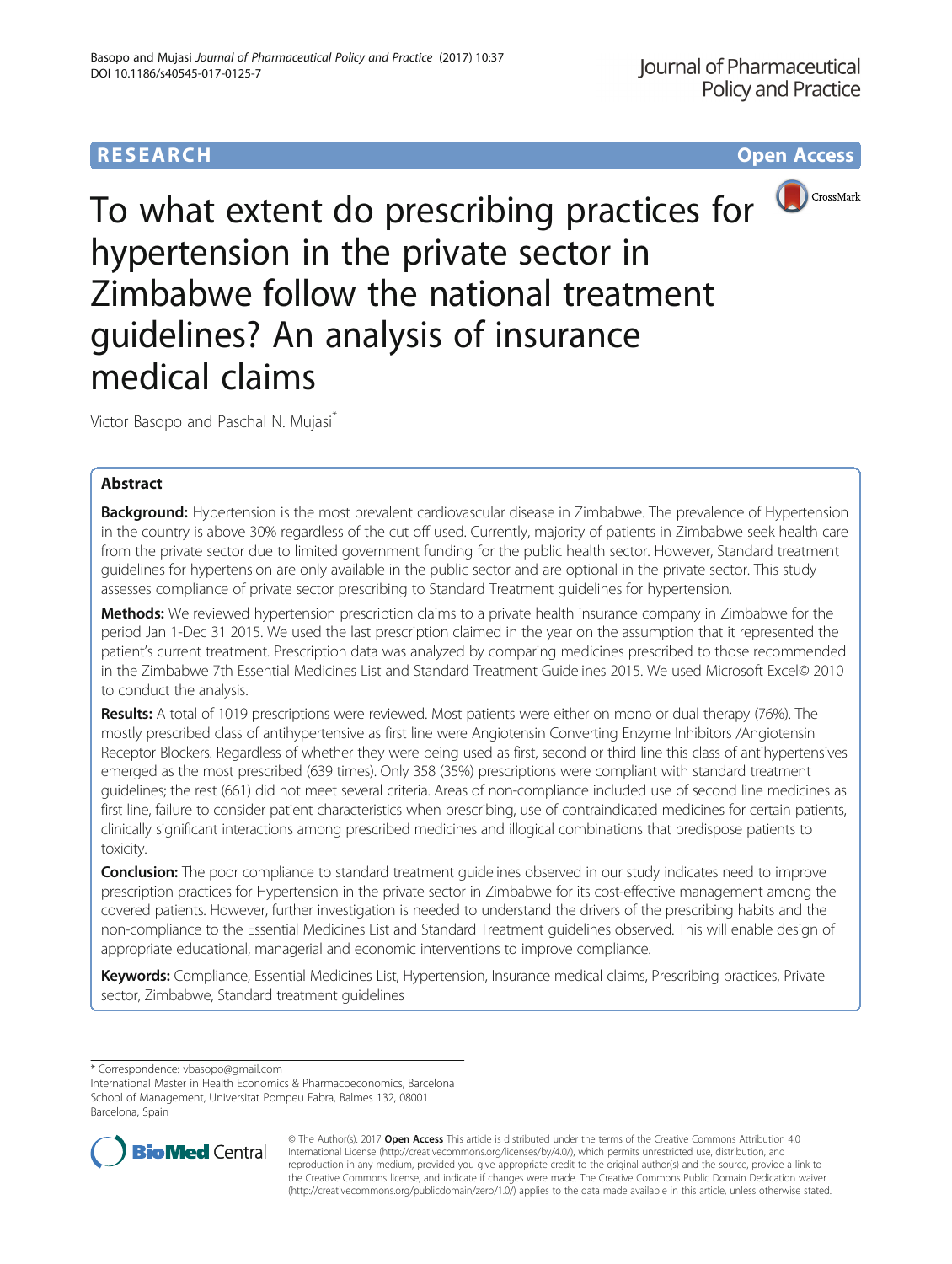# **RESEARCH RESEARCH** *CHECK CHECK CHECK CHECK CHECK CHECK CHECK CHECK CHECK CHECK CHECK CHECK CHECK CHECK CHECK CHECK CHECK CHECK CHECK CHECK CHECK CHECK CHECK CHECK CHECK CHECK CHECK CHECK CHECK CHECK CHECK CHECK CHECK*



To what extent do prescribing practices for **O**CrossMark hypertension in the private sector in Zimbabwe follow the national treatment guidelines? An analysis of insurance medical claims

Victor Basopo and Paschal N. Mujasi\*

## Abstract

Background: Hypertension is the most prevalent cardiovascular disease in Zimbabwe. The prevalence of Hypertension in the country is above 30% regardless of the cut off used. Currently, majority of patients in Zimbabwe seek health care from the private sector due to limited government funding for the public health sector. However, Standard treatment guidelines for hypertension are only available in the public sector and are optional in the private sector. This study assesses compliance of private sector prescribing to Standard Treatment guidelines for hypertension.

Methods: We reviewed hypertension prescription claims to a private health insurance company in Zimbabwe for the period Jan 1-Dec 31 2015. We used the last prescription claimed in the year on the assumption that it represented the patient's current treatment. Prescription data was analyzed by comparing medicines prescribed to those recommended in the Zimbabwe 7th Essential Medicines List and Standard Treatment Guidelines 2015. We used Microsoft Excel© 2010 to conduct the analysis.

Results: A total of 1019 prescriptions were reviewed. Most patients were either on mono or dual therapy (76%). The mostly prescribed class of antihypertensive as first line were Angiotensin Converting Enzyme Inhibitors /Angiotensin Receptor Blockers. Regardless of whether they were being used as first, second or third line this class of antihypertensives emerged as the most prescribed (639 times). Only 358 (35%) prescriptions were compliant with standard treatment guidelines; the rest (661) did not meet several criteria. Areas of non-compliance included use of second line medicines as first line, failure to consider patient characteristics when prescribing, use of contraindicated medicines for certain patients, clinically significant interactions among prescribed medicines and illogical combinations that predispose patients to toxicity.

**Conclusion:** The poor compliance to standard treatment quidelines observed in our study indicates need to improve prescription practices for Hypertension in the private sector in Zimbabwe for its cost-effective management among the covered patients. However, further investigation is needed to understand the drivers of the prescribing habits and the non-compliance to the Essential Medicines List and Standard Treatment guidelines observed. This will enable design of appropriate educational, managerial and economic interventions to improve compliance.

Keywords: Compliance, Essential Medicines List, Hypertension, Insurance medical claims, Prescribing practices, Private sector, Zimbabwe, Standard treatment guidelines

\* Correspondence: [vbasopo@gmail.com](mailto:vbasopo@gmail.com)

International Master in Health Economics & Pharmacoeconomics, Barcelona School of Management, Universitat Pompeu Fabra, Balmes 132, 08001 Barcelona, Spain



© The Author(s). 2017 **Open Access** This article is distributed under the terms of the Creative Commons Attribution 4.0 International License [\(http://creativecommons.org/licenses/by/4.0/](http://creativecommons.org/licenses/by/4.0/)), which permits unrestricted use, distribution, and reproduction in any medium, provided you give appropriate credit to the original author(s) and the source, provide a link to the Creative Commons license, and indicate if changes were made. The Creative Commons Public Domain Dedication waiver [\(http://creativecommons.org/publicdomain/zero/1.0/](http://creativecommons.org/publicdomain/zero/1.0/)) applies to the data made available in this article, unless otherwise stated.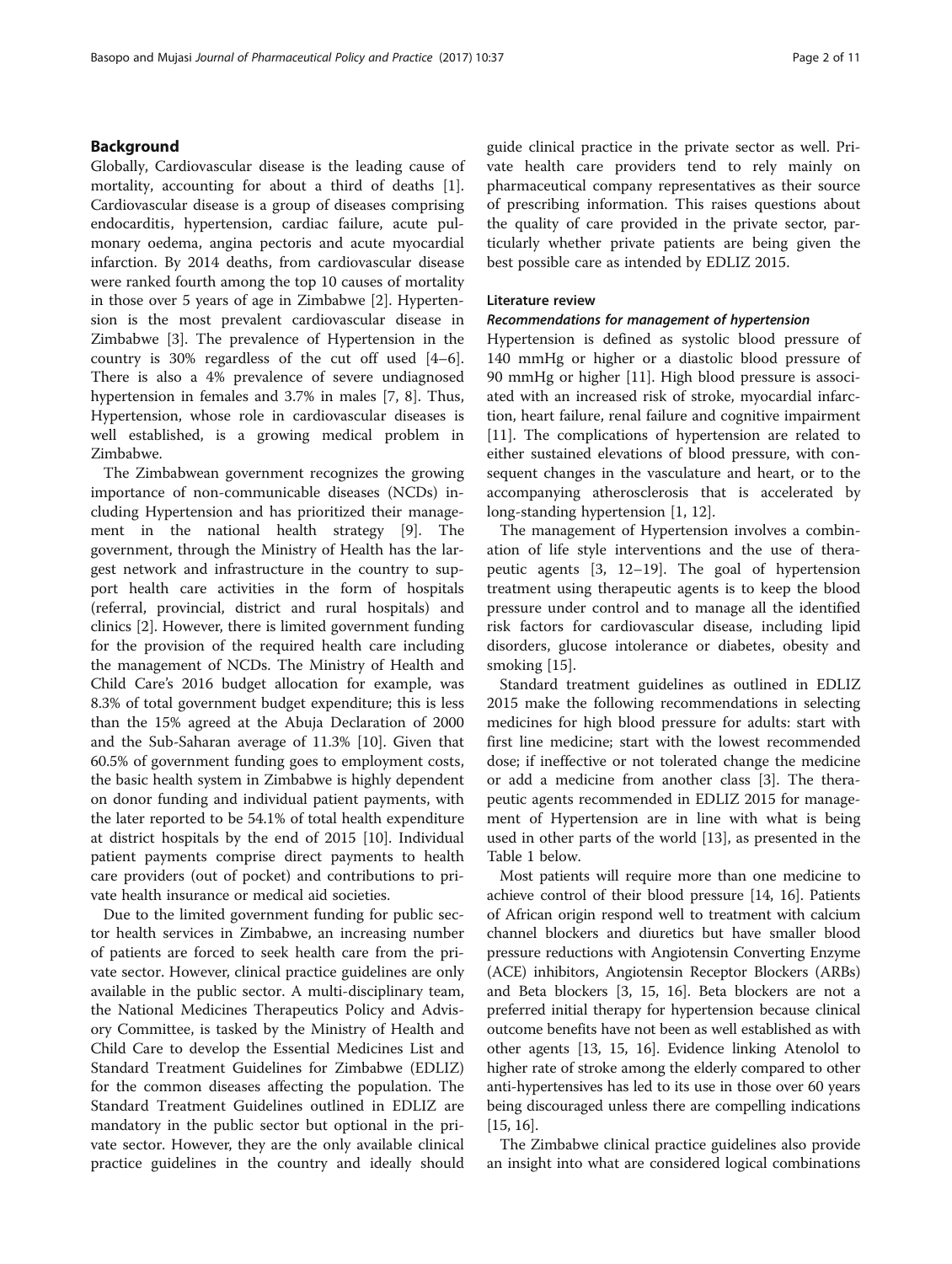## Background

Globally, Cardiovascular disease is the leading cause of mortality, accounting for about a third of deaths [\[1](#page-9-0)]. Cardiovascular disease is a group of diseases comprising endocarditis, hypertension, cardiac failure, acute pulmonary oedema, angina pectoris and acute myocardial infarction. By 2014 deaths, from cardiovascular disease were ranked fourth among the top 10 causes of mortality in those over 5 years of age in Zimbabwe [\[2](#page-9-0)]. Hypertension is the most prevalent cardiovascular disease in Zimbabwe [\[3](#page-9-0)]. The prevalence of Hypertension in the country is 30% regardless of the cut off used [\[4](#page-10-0)–[6](#page-10-0)]. There is also a 4% prevalence of severe undiagnosed hypertension in females and 3.7% in males [[7](#page-10-0), [8](#page-10-0)]. Thus, Hypertension, whose role in cardiovascular diseases is well established, is a growing medical problem in Zimbabwe.

The Zimbabwean government recognizes the growing importance of non-communicable diseases (NCDs) including Hypertension and has prioritized their management in the national health strategy [[9\]](#page-10-0). The government, through the Ministry of Health has the largest network and infrastructure in the country to support health care activities in the form of hospitals (referral, provincial, district and rural hospitals) and clinics [\[2](#page-9-0)]. However, there is limited government funding for the provision of the required health care including the management of NCDs. The Ministry of Health and Child Care's 2016 budget allocation for example, was 8.3% of total government budget expenditure; this is less than the 15% agreed at the Abuja Declaration of 2000 and the Sub-Saharan average of 11.3% [[10\]](#page-10-0). Given that 60.5% of government funding goes to employment costs, the basic health system in Zimbabwe is highly dependent on donor funding and individual patient payments, with the later reported to be 54.1% of total health expenditure at district hospitals by the end of 2015 [\[10](#page-10-0)]. Individual patient payments comprise direct payments to health care providers (out of pocket) and contributions to private health insurance or medical aid societies.

Due to the limited government funding for public sector health services in Zimbabwe, an increasing number of patients are forced to seek health care from the private sector. However, clinical practice guidelines are only available in the public sector. A multi-disciplinary team, the National Medicines Therapeutics Policy and Advisory Committee, is tasked by the Ministry of Health and Child Care to develop the Essential Medicines List and Standard Treatment Guidelines for Zimbabwe (EDLIZ) for the common diseases affecting the population. The Standard Treatment Guidelines outlined in EDLIZ are mandatory in the public sector but optional in the private sector. However, they are the only available clinical practice guidelines in the country and ideally should guide clinical practice in the private sector as well. Private health care providers tend to rely mainly on pharmaceutical company representatives as their source of prescribing information. This raises questions about the quality of care provided in the private sector, particularly whether private patients are being given the best possible care as intended by EDLIZ 2015.

#### Literature review

## Recommendations for management of hypertension

Hypertension is defined as systolic blood pressure of 140 mmHg or higher or a diastolic blood pressure of 90 mmHg or higher [[11\]](#page-10-0). High blood pressure is associated with an increased risk of stroke, myocardial infarction, heart failure, renal failure and cognitive impairment [[11\]](#page-10-0). The complications of hypertension are related to either sustained elevations of blood pressure, with consequent changes in the vasculature and heart, or to the accompanying atherosclerosis that is accelerated by long-standing hypertension [[1,](#page-9-0) [12](#page-10-0)].

The management of Hypertension involves a combination of life style interventions and the use of therapeutic agents [[3](#page-9-0), [12](#page-10-0)–[19\]](#page-10-0). The goal of hypertension treatment using therapeutic agents is to keep the blood pressure under control and to manage all the identified risk factors for cardiovascular disease, including lipid disorders, glucose intolerance or diabetes, obesity and smoking [\[15](#page-10-0)].

Standard treatment guidelines as outlined in EDLIZ 2015 make the following recommendations in selecting medicines for high blood pressure for adults: start with first line medicine; start with the lowest recommended dose; if ineffective or not tolerated change the medicine or add a medicine from another class [[3\]](#page-9-0). The therapeutic agents recommended in EDLIZ 2015 for management of Hypertension are in line with what is being used in other parts of the world [13], as presented in the Table [1](#page-2-0) below.

Most patients will require more than one medicine to achieve control of their blood pressure [\[14, 16\]](#page-10-0). Patients of African origin respond well to treatment with calcium channel blockers and diuretics but have smaller blood pressure reductions with Angiotensin Converting Enzyme (ACE) inhibitors, Angiotensin Receptor Blockers (ARBs) and Beta blockers [[3](#page-9-0), [15](#page-10-0), [16](#page-10-0)]. Beta blockers are not a preferred initial therapy for hypertension because clinical outcome benefits have not been as well established as with other agents [[13](#page-10-0), [15, 16\]](#page-10-0). Evidence linking Atenolol to higher rate of stroke among the elderly compared to other anti-hypertensives has led to its use in those over 60 years being discouraged unless there are compelling indications [[15](#page-10-0), [16\]](#page-10-0).

The Zimbabwe clinical practice guidelines also provide an insight into what are considered logical combinations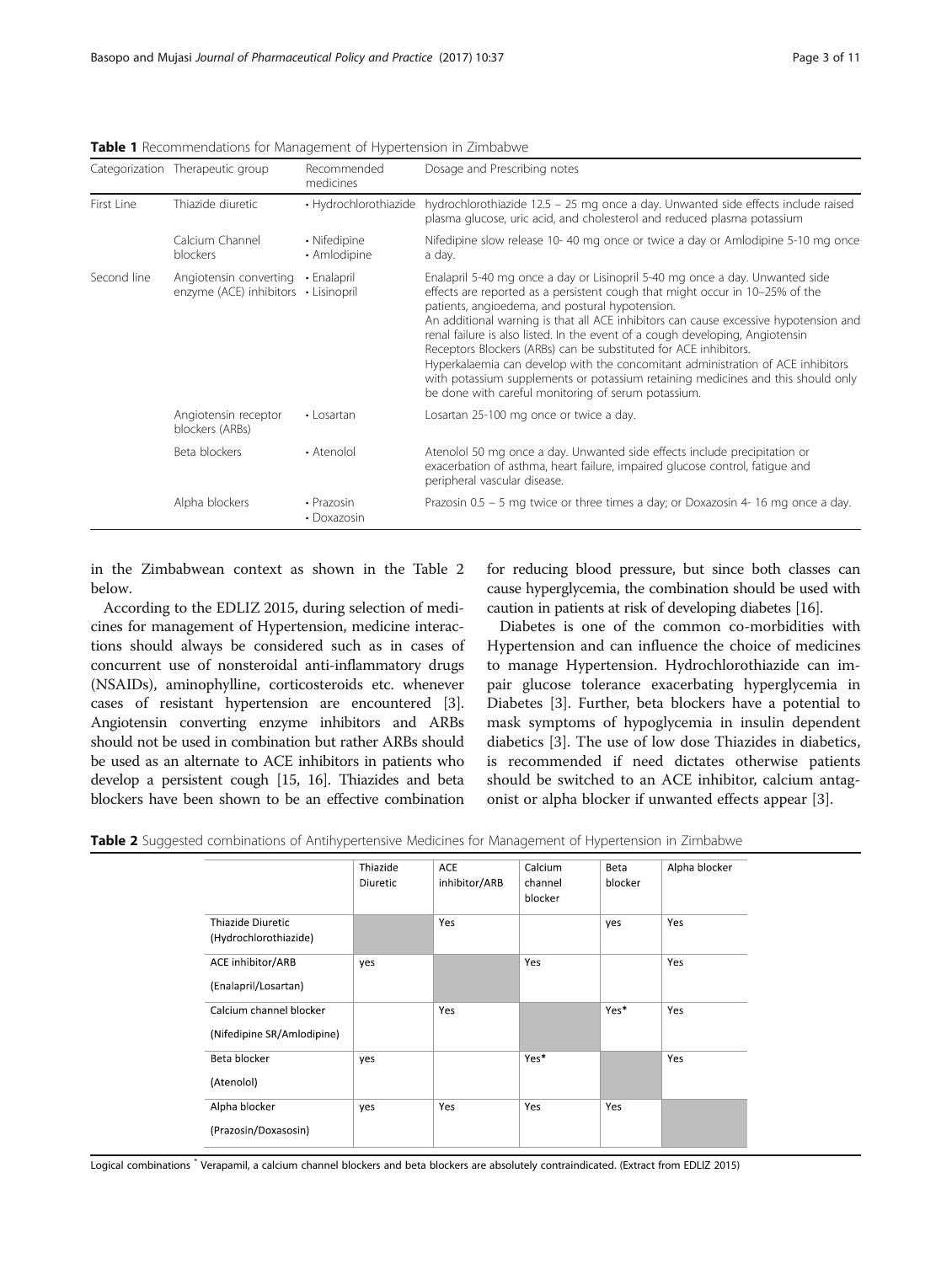|             | Categorization Therapeutic group                  | Recommended<br>medicines     | Dosage and Prescribing notes                                                                                                                                                                                                                                                                                                                                                                                                                                                                                                                                                                                                                                                               |
|-------------|---------------------------------------------------|------------------------------|--------------------------------------------------------------------------------------------------------------------------------------------------------------------------------------------------------------------------------------------------------------------------------------------------------------------------------------------------------------------------------------------------------------------------------------------------------------------------------------------------------------------------------------------------------------------------------------------------------------------------------------------------------------------------------------------|
| First Line  | Thiazide diuretic                                 | • Hydrochlorothiazide        | hydrochlorothiazide 12.5 – 25 mg once a day. Unwanted side effects include raised<br>plasma glucose, uric acid, and cholesterol and reduced plasma potassium                                                                                                                                                                                                                                                                                                                                                                                                                                                                                                                               |
|             | Calcium Channel<br>blockers                       | • Nifedipine<br>• Amlodipine | Nifedipine slow release 10-40 mg once or twice a day or Amlodipine 5-10 mg once<br>a day.                                                                                                                                                                                                                                                                                                                                                                                                                                                                                                                                                                                                  |
| Second line | Angiotensin converting<br>enzyme (ACE) inhibitors | • Enalapril<br>• Lisinopril  | Enalapril 5-40 mg once a day or Lisinopril 5-40 mg once a day. Unwanted side<br>effects are reported as a persistent cough that might occur in 10-25% of the<br>patients, angioedema, and postural hypotension.<br>An additional warning is that all ACE inhibitors can cause excessive hypotension and<br>renal failure is also listed. In the event of a cough developing, Angiotensin<br>Receptors Blockers (ARBs) can be substituted for ACE inhibitors.<br>Hyperkalaemia can develop with the concomitant administration of ACE inhibitors<br>with potassium supplements or potassium retaining medicines and this should only<br>be done with careful monitoring of serum potassium. |
|             | Angiotensin receptor<br>blockers (ARBs)           | $\cdot$   osartan            | Losartan 25-100 mg once or twice a day.                                                                                                                                                                                                                                                                                                                                                                                                                                                                                                                                                                                                                                                    |
|             | Beta blockers                                     | • Atenolol                   | Atenolol 50 mg once a day. Unwanted side effects include precipitation or<br>exacerbation of asthma, heart failure, impaired glucose control, fatigue and<br>peripheral vascular disease.                                                                                                                                                                                                                                                                                                                                                                                                                                                                                                  |
|             | Alpha blockers                                    | • Prazosin<br>• Doxazosin    | Prazosin $0.5 - 5$ mg twice or three times a day; or Doxazosin 4-16 mg once a day.                                                                                                                                                                                                                                                                                                                                                                                                                                                                                                                                                                                                         |

<span id="page-2-0"></span>Table 1 Recommendations for Management of Hypertension in Zimbabwe

in the Zimbabwean context as shown in the Table 2 below.

According to the EDLIZ 2015, during selection of medicines for management of Hypertension, medicine interactions should always be considered such as in cases of concurrent use of nonsteroidal anti-inflammatory drugs (NSAIDs), aminophylline, corticosteroids etc. whenever cases of resistant hypertension are encountered [[3](#page-9-0)]. Angiotensin converting enzyme inhibitors and ARBs should not be used in combination but rather ARBs should be used as an alternate to ACE inhibitors in patients who develop a persistent cough [\[15, 16](#page-10-0)]. Thiazides and beta blockers have been shown to be an effective combination for reducing blood pressure, but since both classes can cause hyperglycemia, the combination should be used with caution in patients at risk of developing diabetes [[16](#page-10-0)].

Diabetes is one of the common co-morbidities with Hypertension and can influence the choice of medicines to manage Hypertension. Hydrochlorothiazide can impair glucose tolerance exacerbating hyperglycemia in Diabetes [\[3](#page-9-0)]. Further, beta blockers have a potential to mask symptoms of hypoglycemia in insulin dependent diabetics [[3\]](#page-9-0). The use of low dose Thiazides in diabetics, is recommended if need dictates otherwise patients should be switched to an ACE inhibitor, calcium antagonist or alpha blocker if unwanted effects appear [\[3](#page-9-0)].

| Table 2 Suggested combinations of Antihypertensive Medicines for Management of Hypertension in Zimbabwe |  |
|---------------------------------------------------------------------------------------------------------|--|
|                                                                                                         |  |

|                                                       | Thiazide<br>Diuretic | ACE<br>inhibitor/ARB | Calcium<br>channel<br>blocker | Beta<br>blocker | Alpha blocker |
|-------------------------------------------------------|----------------------|----------------------|-------------------------------|-----------------|---------------|
| <b>Thiazide Diuretic</b><br>(Hydrochlorothiazide)     |                      | Yes                  |                               | yes             | Yes           |
| ACE inhibitor/ARB<br>(Enalapril/Losartan)             | yes                  |                      | Yes                           |                 | Yes           |
| Calcium channel blocker<br>(Nifedipine SR/Amlodipine) |                      | Yes                  |                               | Yes*            | Yes           |
| Beta blocker<br>(Atenolol)                            | yes                  |                      | Yes*                          |                 | Yes           |
| Alpha blocker<br>(Prazosin/Doxasosin)                 | yes                  | Yes                  | Yes                           | Yes             |               |

Logical combinations \* Verapamil, a calcium channel blockers and beta blockers are absolutely contraindicated. (Extract from EDLIZ 2015)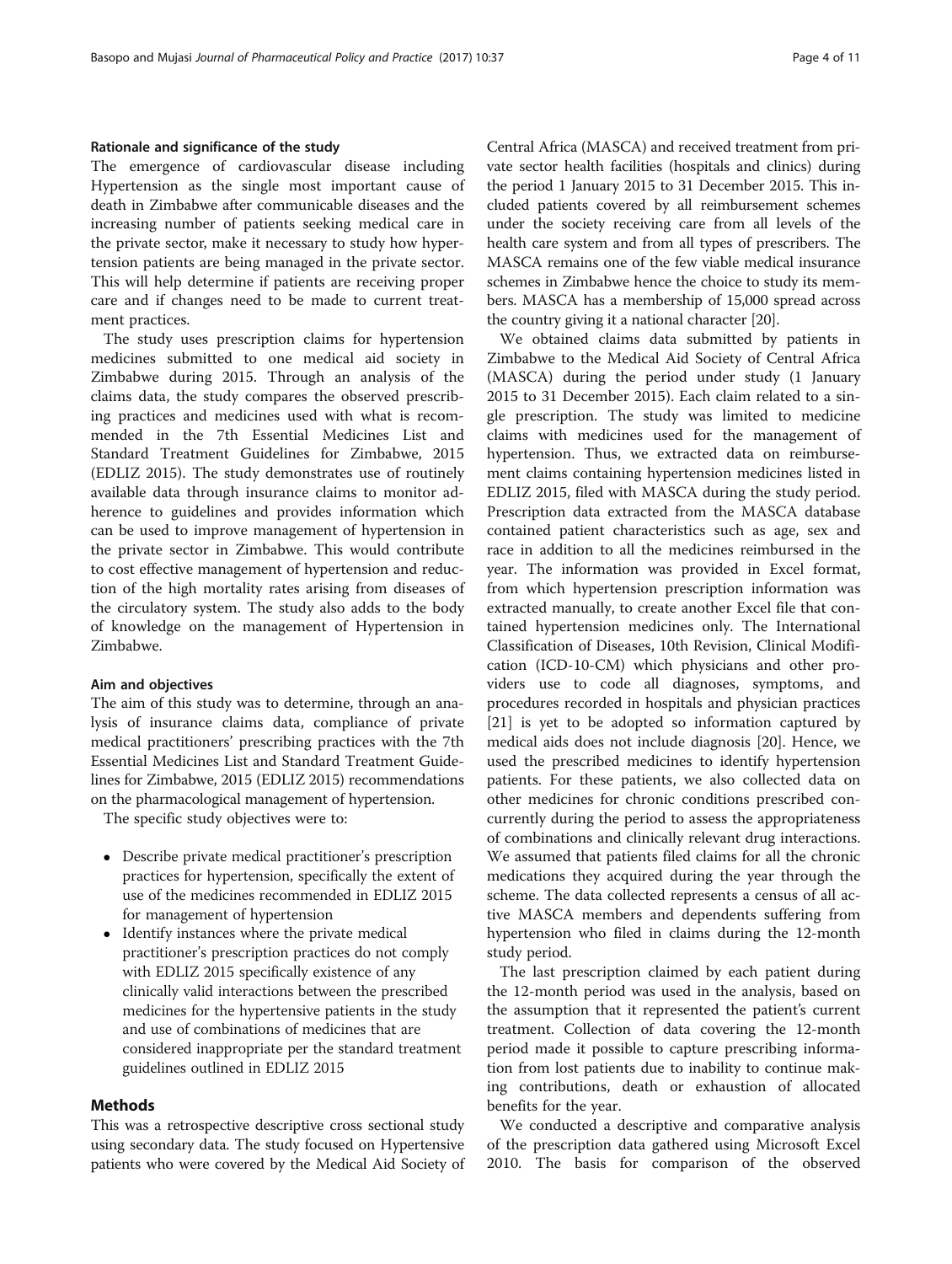## Rationale and significance of the study

The emergence of cardiovascular disease including Hypertension as the single most important cause of death in Zimbabwe after communicable diseases and the increasing number of patients seeking medical care in the private sector, make it necessary to study how hypertension patients are being managed in the private sector. This will help determine if patients are receiving proper care and if changes need to be made to current treatment practices.

The study uses prescription claims for hypertension medicines submitted to one medical aid society in Zimbabwe during 2015. Through an analysis of the claims data, the study compares the observed prescribing practices and medicines used with what is recommended in the 7th Essential Medicines List and Standard Treatment Guidelines for Zimbabwe, 2015 (EDLIZ 2015). The study demonstrates use of routinely available data through insurance claims to monitor adherence to guidelines and provides information which can be used to improve management of hypertension in the private sector in Zimbabwe. This would contribute to cost effective management of hypertension and reduction of the high mortality rates arising from diseases of the circulatory system. The study also adds to the body of knowledge on the management of Hypertension in Zimbabwe.

#### Aim and objectives

The aim of this study was to determine, through an analysis of insurance claims data, compliance of private medical practitioners' prescribing practices with the 7th Essential Medicines List and Standard Treatment Guidelines for Zimbabwe, 2015 (EDLIZ 2015) recommendations on the pharmacological management of hypertension.

The specific study objectives were to:

- Describe private medical practitioner's prescription practices for hypertension, specifically the extent of use of the medicines recommended in EDLIZ 2015 for management of hypertension
- Identify instances where the private medical practitioner's prescription practices do not comply with EDLIZ 2015 specifically existence of any clinically valid interactions between the prescribed medicines for the hypertensive patients in the study and use of combinations of medicines that are considered inappropriate per the standard treatment guidelines outlined in EDLIZ 2015

#### Methods

This was a retrospective descriptive cross sectional study using secondary data. The study focused on Hypertensive patients who were covered by the Medical Aid Society of

Central Africa (MASCA) and received treatment from private sector health facilities (hospitals and clinics) during the period 1 January 2015 to 31 December 2015. This included patients covered by all reimbursement schemes under the society receiving care from all levels of the health care system and from all types of prescribers. The MASCA remains one of the few viable medical insurance schemes in Zimbabwe hence the choice to study its members. MASCA has a membership of 15,000 spread across the country giving it a national character [\[20\]](#page-10-0).

We obtained claims data submitted by patients in Zimbabwe to the Medical Aid Society of Central Africa (MASCA) during the period under study (1 January 2015 to 31 December 2015). Each claim related to a single prescription. The study was limited to medicine claims with medicines used for the management of hypertension. Thus, we extracted data on reimbursement claims containing hypertension medicines listed in EDLIZ 2015, filed with MASCA during the study period. Prescription data extracted from the MASCA database contained patient characteristics such as age, sex and race in addition to all the medicines reimbursed in the year. The information was provided in Excel format, from which hypertension prescription information was extracted manually, to create another Excel file that contained hypertension medicines only. The International Classification of Diseases, 10th Revision, Clinical Modification (ICD-10-CM) which physicians and other providers use to code all diagnoses, symptoms, and procedures recorded in hospitals and physician practices [[21\]](#page-10-0) is yet to be adopted so information captured by medical aids does not include diagnosis [[20](#page-10-0)]. Hence, we used the prescribed medicines to identify hypertension patients. For these patients, we also collected data on other medicines for chronic conditions prescribed concurrently during the period to assess the appropriateness of combinations and clinically relevant drug interactions. We assumed that patients filed claims for all the chronic medications they acquired during the year through the scheme. The data collected represents a census of all active MASCA members and dependents suffering from hypertension who filed in claims during the 12-month study period.

The last prescription claimed by each patient during the 12-month period was used in the analysis, based on the assumption that it represented the patient's current treatment. Collection of data covering the 12-month period made it possible to capture prescribing information from lost patients due to inability to continue making contributions, death or exhaustion of allocated benefits for the year.

We conducted a descriptive and comparative analysis of the prescription data gathered using Microsoft Excel 2010. The basis for comparison of the observed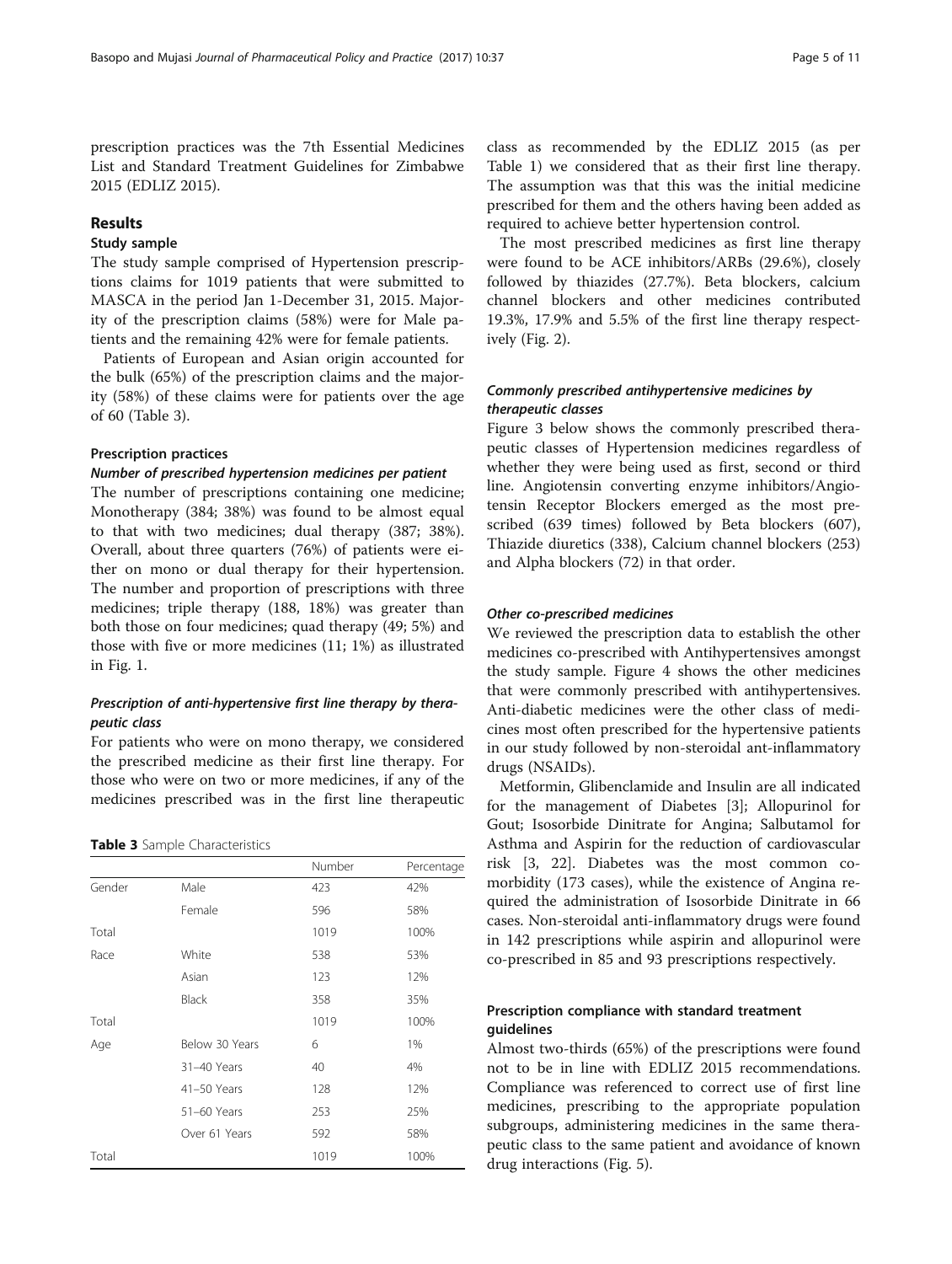prescription practices was the 7th Essential Medicines List and Standard Treatment Guidelines for Zimbabwe 2015 (EDLIZ 2015).

### Results

## Study sample

The study sample comprised of Hypertension prescriptions claims for 1019 patients that were submitted to MASCA in the period Jan 1-December 31, 2015. Majority of the prescription claims (58%) were for Male patients and the remaining 42% were for female patients.

Patients of European and Asian origin accounted for the bulk (65%) of the prescription claims and the majority (58%) of these claims were for patients over the age of 60 (Table 3).

#### Prescription practices

#### Number of prescribed hypertension medicines per patient

The number of prescriptions containing one medicine; Monotherapy (384; 38%) was found to be almost equal to that with two medicines; dual therapy (387; 38%). Overall, about three quarters (76%) of patients were either on mono or dual therapy for their hypertension. The number and proportion of prescriptions with three medicines; triple therapy (188, 18%) was greater than both those on four medicines; quad therapy (49; 5%) and those with five or more medicines (11; 1%) as illustrated in Fig. [1.](#page-5-0)

### Prescription of anti-hypertensive first line therapy by therapeutic class

For patients who were on mono therapy, we considered the prescribed medicine as their first line therapy. For those who were on two or more medicines, if any of the medicines prescribed was in the first line therapeutic

Table 3 Sample Characteristics

|        |                | Number | Percentage |
|--------|----------------|--------|------------|
| Gender | Male           | 423    | 42%        |
|        | Female         | 596    | 58%        |
| Total  |                | 1019   | 100%       |
| Race   | White          | 538    | 53%        |
|        | Asian          | 123    | 12%        |
|        | <b>Black</b>   | 358    | 35%        |
| Total  |                | 1019   | 100%       |
| Age    | Below 30 Years | 6      | 1%         |
|        | 31-40 Years    | 40     | 4%         |
|        | 41-50 Years    | 128    | 12%        |
|        | 51-60 Years    | 253    | 25%        |
|        | Over 61 Years  | 592    | 58%        |
| Total  |                | 1019   | 100%       |

class as recommended by the EDLIZ 2015 (as per Table [1](#page-2-0)) we considered that as their first line therapy. The assumption was that this was the initial medicine prescribed for them and the others having been added as required to achieve better hypertension control.

The most prescribed medicines as first line therapy were found to be ACE inhibitors/ARBs (29.6%), closely followed by thiazides (27.7%). Beta blockers, calcium channel blockers and other medicines contributed 19.3%, 17.9% and 5.5% of the first line therapy respectively (Fig. [2\)](#page-5-0).

## Commonly prescribed antihypertensive medicines by therapeutic classes

Figure [3](#page-5-0) below shows the commonly prescribed therapeutic classes of Hypertension medicines regardless of whether they were being used as first, second or third line. Angiotensin converting enzyme inhibitors/Angiotensin Receptor Blockers emerged as the most prescribed (639 times) followed by Beta blockers (607), Thiazide diuretics (338), Calcium channel blockers (253) and Alpha blockers (72) in that order.

#### Other co-prescribed medicines

We reviewed the prescription data to establish the other medicines co-prescribed with Antihypertensives amongst the study sample. Figure [4](#page-6-0) shows the other medicines that were commonly prescribed with antihypertensives. Anti-diabetic medicines were the other class of medicines most often prescribed for the hypertensive patients in our study followed by non-steroidal ant-inflammatory drugs (NSAIDs).

Metformin, Glibenclamide and Insulin are all indicated for the management of Diabetes [[3\]](#page-9-0); Allopurinol for Gout; Isosorbide Dinitrate for Angina; Salbutamol for Asthma and Aspirin for the reduction of cardiovascular risk [\[3](#page-9-0), [22\]](#page-10-0). Diabetes was the most common comorbidity (173 cases), while the existence of Angina required the administration of Isosorbide Dinitrate in 66 cases. Non-steroidal anti-inflammatory drugs were found in 142 prescriptions while aspirin and allopurinol were co-prescribed in 85 and 93 prescriptions respectively.

### Prescription compliance with standard treatment guidelines

Almost two-thirds (65%) of the prescriptions were found not to be in line with EDLIZ 2015 recommendations. Compliance was referenced to correct use of first line medicines, prescribing to the appropriate population subgroups, administering medicines in the same therapeutic class to the same patient and avoidance of known drug interactions (Fig. [5](#page-6-0)).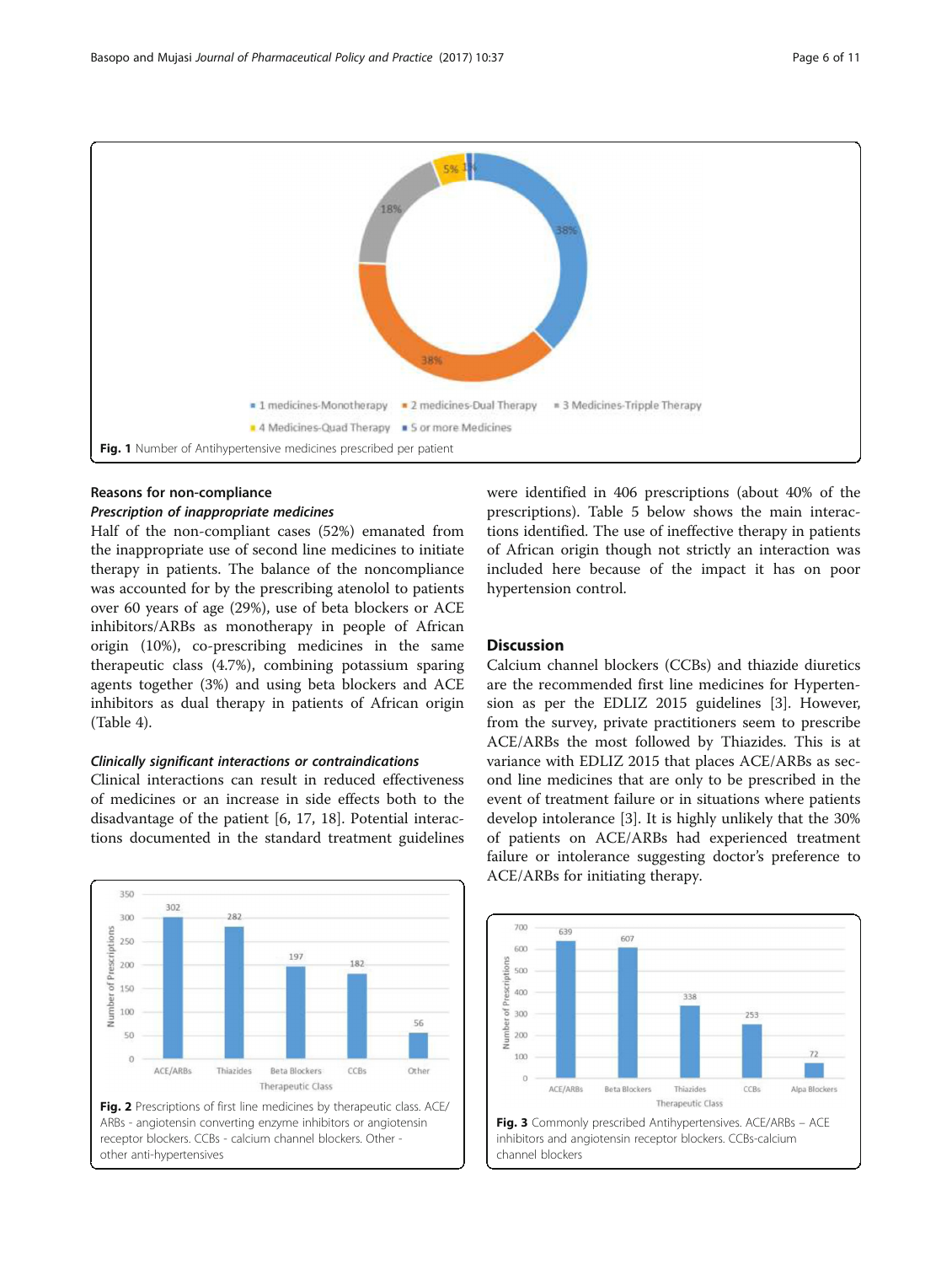<span id="page-5-0"></span>

### Reasons for non-compliance

#### Prescription of inappropriate medicines

Half of the non-compliant cases (52%) emanated from the inappropriate use of second line medicines to initiate therapy in patients. The balance of the noncompliance was accounted for by the prescribing atenolol to patients over 60 years of age (29%), use of beta blockers or ACE inhibitors/ARBs as monotherapy in people of African origin (10%), co-prescribing medicines in the same therapeutic class (4.7%), combining potassium sparing agents together (3%) and using beta blockers and ACE inhibitors as dual therapy in patients of African origin (Table [4\)](#page-6-0).

#### Clinically significant interactions or contraindications

Clinical interactions can result in reduced effectiveness of medicines or an increase in side effects both to the disadvantage of the patient [[6, 17](#page-10-0), [18\]](#page-10-0). Potential interactions documented in the standard treatment guidelines

350 302 382  $300$ Number of Prescriptions  $250$ 197  $200$ 182  $150$  $100$ 56  $50$  $\mathfrak{c}$ ACE/ARBs CCBs Other Thiazides **Beta Blockers** Therapeutic Class Fig. 2 Prescriptions of first line medicines by therapeutic class. ACE/ ARBs - angiotensin converting enzyme inhibitors or angiotensin receptor blockers. CCBs - calcium channel blockers. Other other anti-hypertensives

were identified in 406 prescriptions (about 40% of the prescriptions). Table [5](#page-7-0) below shows the main interactions identified. The use of ineffective therapy in patients of African origin though not strictly an interaction was included here because of the impact it has on poor hypertension control.

## **Discussion**

Calcium channel blockers (CCBs) and thiazide diuretics are the recommended first line medicines for Hypertension as per the EDLIZ 2015 guidelines [[3\]](#page-9-0). However, from the survey, private practitioners seem to prescribe ACE/ARBs the most followed by Thiazides. This is at variance with EDLIZ 2015 that places ACE/ARBs as second line medicines that are only to be prescribed in the event of treatment failure or in situations where patients develop intolerance [\[3\]](#page-9-0). It is highly unlikely that the 30% of patients on ACE/ARBs had experienced treatment failure or intolerance suggesting doctor's preference to ACE/ARBs for initiating therapy.

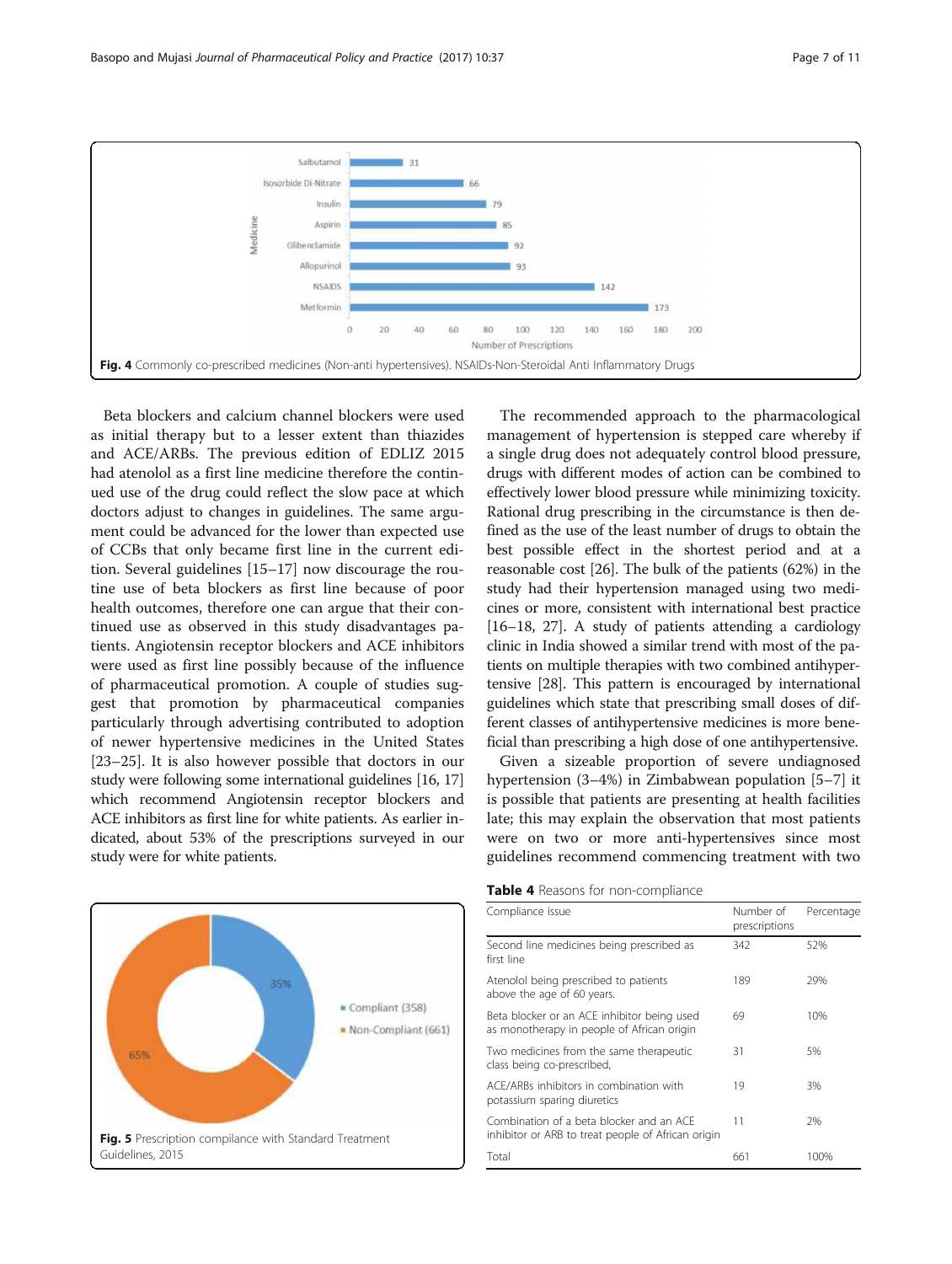<span id="page-6-0"></span>

Beta blockers and calcium channel blockers were used as initial therapy but to a lesser extent than thiazides and ACE/ARBs. The previous edition of EDLIZ 2015 had atenolol as a first line medicine therefore the continued use of the drug could reflect the slow pace at which doctors adjust to changes in guidelines. The same argument could be advanced for the lower than expected use of CCBs that only became first line in the current edition. Several guidelines [[15](#page-10-0)–[17](#page-10-0)] now discourage the routine use of beta blockers as first line because of poor health outcomes, therefore one can argue that their continued use as observed in this study disadvantages patients. Angiotensin receptor blockers and ACE inhibitors were used as first line possibly because of the influence of pharmaceutical promotion. A couple of studies suggest that promotion by pharmaceutical companies particularly through advertising contributed to adoption of newer hypertensive medicines in the United States [[23](#page-10-0)–[25](#page-10-0)]. It is also however possible that doctors in our study were following some international guidelines [[16](#page-10-0), [17](#page-10-0)] which recommend Angiotensin receptor blockers and ACE inhibitors as first line for white patients. As earlier indicated, about 53% of the prescriptions surveyed in our study were for white patients.



The recommended approach to the pharmacological management of hypertension is stepped care whereby if a single drug does not adequately control blood pressure, drugs with different modes of action can be combined to effectively lower blood pressure while minimizing toxicity. Rational drug prescribing in the circumstance is then defined as the use of the least number of drugs to obtain the best possible effect in the shortest period and at a reasonable cost [\[26\]](#page-10-0). The bulk of the patients (62%) in the study had their hypertension managed using two medicines or more, consistent with international best practice [[16](#page-10-0)–[18, 27](#page-10-0)]. A study of patients attending a cardiology clinic in India showed a similar trend with most of the patients on multiple therapies with two combined antihypertensive [[28](#page-10-0)]. This pattern is encouraged by international guidelines which state that prescribing small doses of different classes of antihypertensive medicines is more beneficial than prescribing a high dose of one antihypertensive.

Given a sizeable proportion of severe undiagnosed hypertension (3–4%) in Zimbabwean population [[5](#page-10-0)–[7](#page-10-0)] it is possible that patients are presenting at health facilities late; this may explain the observation that most patients were on two or more anti-hypertensives since most guidelines recommend commencing treatment with two

|  |  | Table 4 Reasons for non-compliance |
|--|--|------------------------------------|
|--|--|------------------------------------|

| Compliance issue                                                                               | Number of<br>prescriptions | Percentage |
|------------------------------------------------------------------------------------------------|----------------------------|------------|
| Second line medicines being prescribed as<br>first line                                        | 342                        | 52%        |
| Atenolol being prescribed to patients<br>above the age of 60 years.                            | 189                        | 29%        |
| Beta blocker or an ACE inhibitor being used<br>as monotherapy in people of African origin      | 69                         | 10%        |
| Two medicines from the same therapeutic<br>class being co-prescribed,                          | 31                         | 5%         |
| ACE/ARBs inhibitors in combination with<br>potassium sparing diuretics                         | 19                         | 3%         |
| Combination of a beta blocker and an ACF<br>inhibitor or ARB to treat people of African origin | 11                         | 2%         |
| Total                                                                                          | 661                        | 100%       |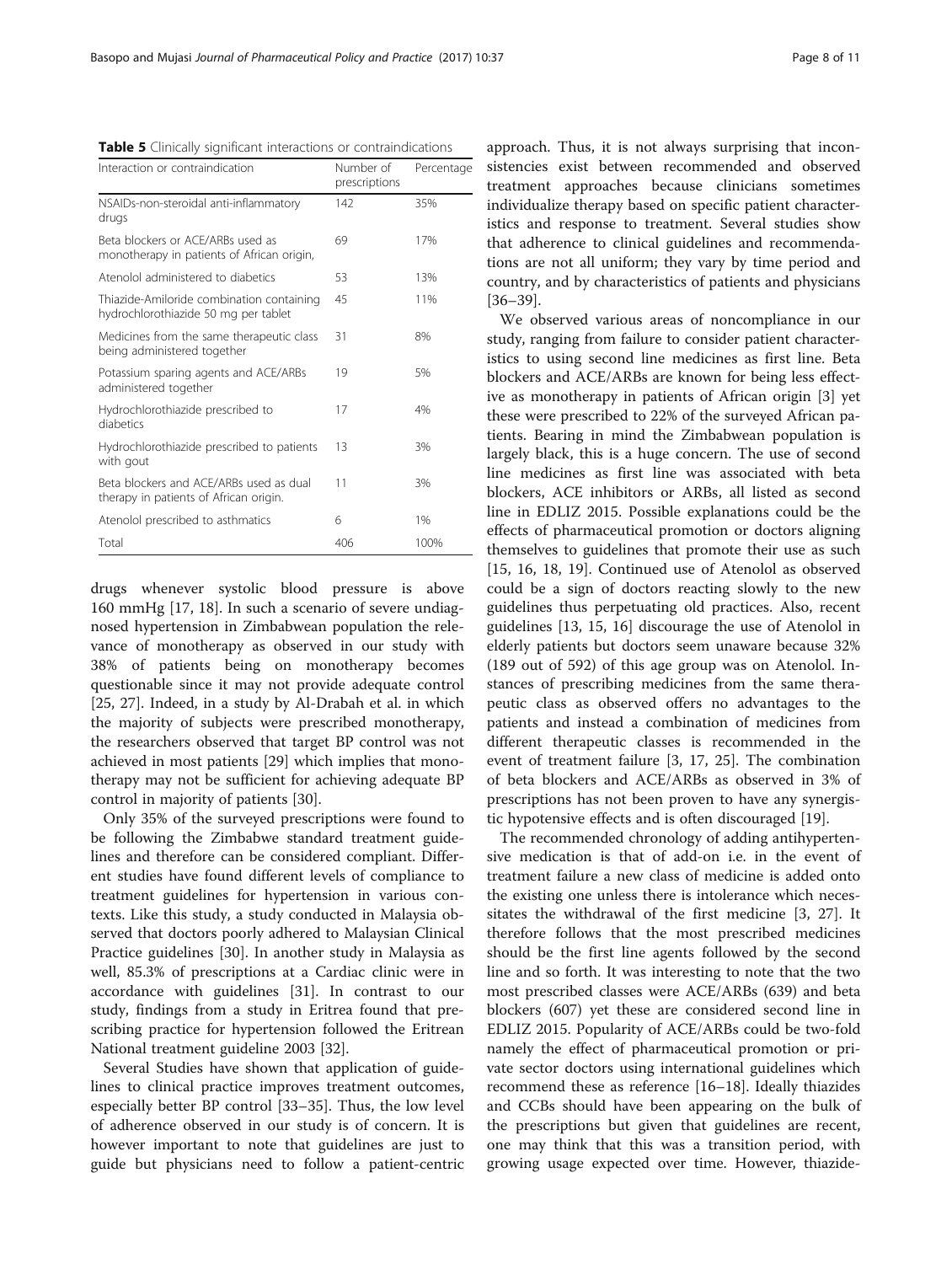<span id="page-7-0"></span>Table 5 Clinically significant interactions or contraindications

| Interaction or contraindication                                                   | Number of<br>prescriptions | Percentage |
|-----------------------------------------------------------------------------------|----------------------------|------------|
| NSAIDs-non-steroidal anti-inflammatory<br>drugs                                   | 142                        | 35%        |
| Beta blockers or ACF/ARBs used as<br>monotherapy in patients of African origin,   | 69                         | 17%        |
| Atenolol administered to diabetics                                                | 53                         | 13%        |
| Thiazide-Amiloride combination containing<br>hydrochlorothiazide 50 mg per tablet | 45                         | 11%        |
| Medicines from the same therapeutic class<br>being administered together          | 31                         | 8%         |
| Potassium sparing agents and ACE/ARBs<br>administered together                    | 19                         | 5%         |
| Hydrochlorothiazide prescribed to<br>diabetics                                    | 17                         | 4%         |
| Hydrochlorothiazide prescribed to patients<br>with gout                           | 13                         | 3%         |
| Beta blockers and ACF/ARBs used as dual<br>therapy in patients of African origin. | 11                         | 3%         |
| Atenolol prescribed to asthmatics                                                 | 6                          | 1%         |
| Total                                                                             | 406                        | 100%       |

drugs whenever systolic blood pressure is above 160 mmHg [\[17](#page-10-0), [18\]](#page-10-0). In such a scenario of severe undiagnosed hypertension in Zimbabwean population the relevance of monotherapy as observed in our study with 38% of patients being on monotherapy becomes questionable since it may not provide adequate control [[25, 27](#page-10-0)]. Indeed, in a study by Al-Drabah et al. in which the majority of subjects were prescribed monotherapy, the researchers observed that target BP control was not achieved in most patients [[29\]](#page-10-0) which implies that monotherapy may not be sufficient for achieving adequate BP control in majority of patients [\[30\]](#page-10-0).

Only 35% of the surveyed prescriptions were found to be following the Zimbabwe standard treatment guidelines and therefore can be considered compliant. Different studies have found different levels of compliance to treatment guidelines for hypertension in various contexts. Like this study, a study conducted in Malaysia observed that doctors poorly adhered to Malaysian Clinical Practice guidelines [\[30](#page-10-0)]. In another study in Malaysia as well, 85.3% of prescriptions at a Cardiac clinic were in accordance with guidelines [\[31](#page-10-0)]. In contrast to our study, findings from a study in Eritrea found that prescribing practice for hypertension followed the Eritrean National treatment guideline 2003 [\[32](#page-10-0)].

Several Studies have shown that application of guidelines to clinical practice improves treatment outcomes, especially better BP control [[33](#page-10-0)–[35](#page-10-0)]. Thus, the low level of adherence observed in our study is of concern. It is however important to note that guidelines are just to guide but physicians need to follow a patient-centric

approach. Thus, it is not always surprising that inconsistencies exist between recommended and observed treatment approaches because clinicians sometimes individualize therapy based on specific patient characteristics and response to treatment. Several studies show that adherence to clinical guidelines and recommendations are not all uniform; they vary by time period and country, and by characteristics of patients and physicians [[36](#page-10-0)–[39](#page-10-0)].

We observed various areas of noncompliance in our study, ranging from failure to consider patient characteristics to using second line medicines as first line. Beta blockers and ACE/ARBs are known for being less effective as monotherapy in patients of African origin [[3\]](#page-9-0) yet these were prescribed to 22% of the surveyed African patients. Bearing in mind the Zimbabwean population is largely black, this is a huge concern. The use of second line medicines as first line was associated with beta blockers, ACE inhibitors or ARBs, all listed as second line in EDLIZ 2015. Possible explanations could be the effects of pharmaceutical promotion or doctors aligning themselves to guidelines that promote their use as such [[15, 16, 18](#page-10-0), [19](#page-10-0)]. Continued use of Atenolol as observed could be a sign of doctors reacting slowly to the new guidelines thus perpetuating old practices. Also, recent guidelines [\[13](#page-10-0), [15, 16](#page-10-0)] discourage the use of Atenolol in elderly patients but doctors seem unaware because 32% (189 out of 592) of this age group was on Atenolol. Instances of prescribing medicines from the same therapeutic class as observed offers no advantages to the patients and instead a combination of medicines from different therapeutic classes is recommended in the event of treatment failure [\[3](#page-9-0), [17](#page-10-0), [25](#page-10-0)]. The combination of beta blockers and ACE/ARBs as observed in 3% of prescriptions has not been proven to have any synergistic hypotensive effects and is often discouraged [\[19\]](#page-10-0).

The recommended chronology of adding antihypertensive medication is that of add-on i.e. in the event of treatment failure a new class of medicine is added onto the existing one unless there is intolerance which necessitates the withdrawal of the first medicine [[3,](#page-9-0) [27\]](#page-10-0). It therefore follows that the most prescribed medicines should be the first line agents followed by the second line and so forth. It was interesting to note that the two most prescribed classes were ACE/ARBs (639) and beta blockers (607) yet these are considered second line in EDLIZ 2015. Popularity of ACE/ARBs could be two-fold namely the effect of pharmaceutical promotion or private sector doctors using international guidelines which recommend these as reference [\[16](#page-10-0)–[18\]](#page-10-0). Ideally thiazides and CCBs should have been appearing on the bulk of the prescriptions but given that guidelines are recent, one may think that this was a transition period, with growing usage expected over time. However, thiazide-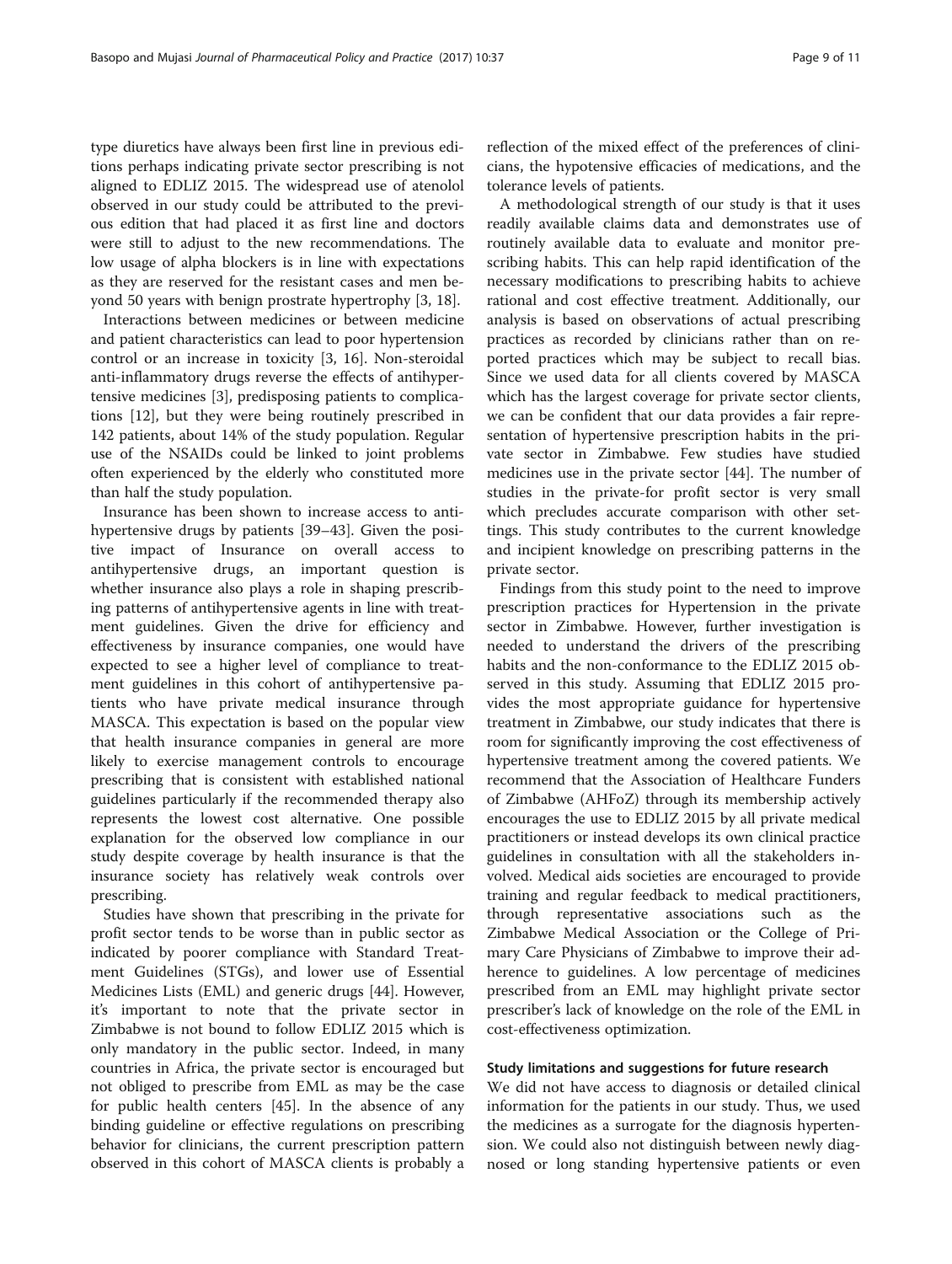type diuretics have always been first line in previous editions perhaps indicating private sector prescribing is not aligned to EDLIZ 2015. The widespread use of atenolol observed in our study could be attributed to the previous edition that had placed it as first line and doctors were still to adjust to the new recommendations. The low usage of alpha blockers is in line with expectations as they are reserved for the resistant cases and men beyond 50 years with benign prostrate hypertrophy [\[3,](#page-9-0) [18\]](#page-10-0).

Interactions between medicines or between medicine and patient characteristics can lead to poor hypertension control or an increase in toxicity [[3,](#page-9-0) [16\]](#page-10-0). Non-steroidal anti-inflammatory drugs reverse the effects of antihypertensive medicines [\[3](#page-9-0)], predisposing patients to complications [\[12](#page-10-0)], but they were being routinely prescribed in 142 patients, about 14% of the study population. Regular use of the NSAIDs could be linked to joint problems often experienced by the elderly who constituted more than half the study population.

Insurance has been shown to increase access to antihypertensive drugs by patients [[39](#page-10-0)–[43](#page-10-0)]. Given the positive impact of Insurance on overall access to antihypertensive drugs, an important question is whether insurance also plays a role in shaping prescribing patterns of antihypertensive agents in line with treatment guidelines. Given the drive for efficiency and effectiveness by insurance companies, one would have expected to see a higher level of compliance to treatment guidelines in this cohort of antihypertensive patients who have private medical insurance through MASCA. This expectation is based on the popular view that health insurance companies in general are more likely to exercise management controls to encourage prescribing that is consistent with established national guidelines particularly if the recommended therapy also represents the lowest cost alternative. One possible explanation for the observed low compliance in our study despite coverage by health insurance is that the insurance society has relatively weak controls over prescribing.

Studies have shown that prescribing in the private for profit sector tends to be worse than in public sector as indicated by poorer compliance with Standard Treatment Guidelines (STGs), and lower use of Essential Medicines Lists (EML) and generic drugs [\[44\]](#page-10-0). However, it's important to note that the private sector in Zimbabwe is not bound to follow EDLIZ 2015 which is only mandatory in the public sector. Indeed, in many countries in Africa, the private sector is encouraged but not obliged to prescribe from EML as may be the case for public health centers [[45](#page-10-0)]. In the absence of any binding guideline or effective regulations on prescribing behavior for clinicians, the current prescription pattern observed in this cohort of MASCA clients is probably a

reflection of the mixed effect of the preferences of clinicians, the hypotensive efficacies of medications, and the tolerance levels of patients.

A methodological strength of our study is that it uses readily available claims data and demonstrates use of routinely available data to evaluate and monitor prescribing habits. This can help rapid identification of the necessary modifications to prescribing habits to achieve rational and cost effective treatment. Additionally, our analysis is based on observations of actual prescribing practices as recorded by clinicians rather than on reported practices which may be subject to recall bias. Since we used data for all clients covered by MASCA which has the largest coverage for private sector clients, we can be confident that our data provides a fair representation of hypertensive prescription habits in the private sector in Zimbabwe. Few studies have studied medicines use in the private sector [[44\]](#page-10-0). The number of studies in the private-for profit sector is very small which precludes accurate comparison with other settings. This study contributes to the current knowledge and incipient knowledge on prescribing patterns in the private sector.

Findings from this study point to the need to improve prescription practices for Hypertension in the private sector in Zimbabwe. However, further investigation is needed to understand the drivers of the prescribing habits and the non-conformance to the EDLIZ 2015 observed in this study. Assuming that EDLIZ 2015 provides the most appropriate guidance for hypertensive treatment in Zimbabwe, our study indicates that there is room for significantly improving the cost effectiveness of hypertensive treatment among the covered patients. We recommend that the Association of Healthcare Funders of Zimbabwe (AHFoZ) through its membership actively encourages the use to EDLIZ 2015 by all private medical practitioners or instead develops its own clinical practice guidelines in consultation with all the stakeholders involved. Medical aids societies are encouraged to provide training and regular feedback to medical practitioners, through representative associations such as the Zimbabwe Medical Association or the College of Primary Care Physicians of Zimbabwe to improve their adherence to guidelines. A low percentage of medicines prescribed from an EML may highlight private sector prescriber's lack of knowledge on the role of the EML in cost-effectiveness optimization.

#### Study limitations and suggestions for future research

We did not have access to diagnosis or detailed clinical information for the patients in our study. Thus, we used the medicines as a surrogate for the diagnosis hypertension. We could also not distinguish between newly diagnosed or long standing hypertensive patients or even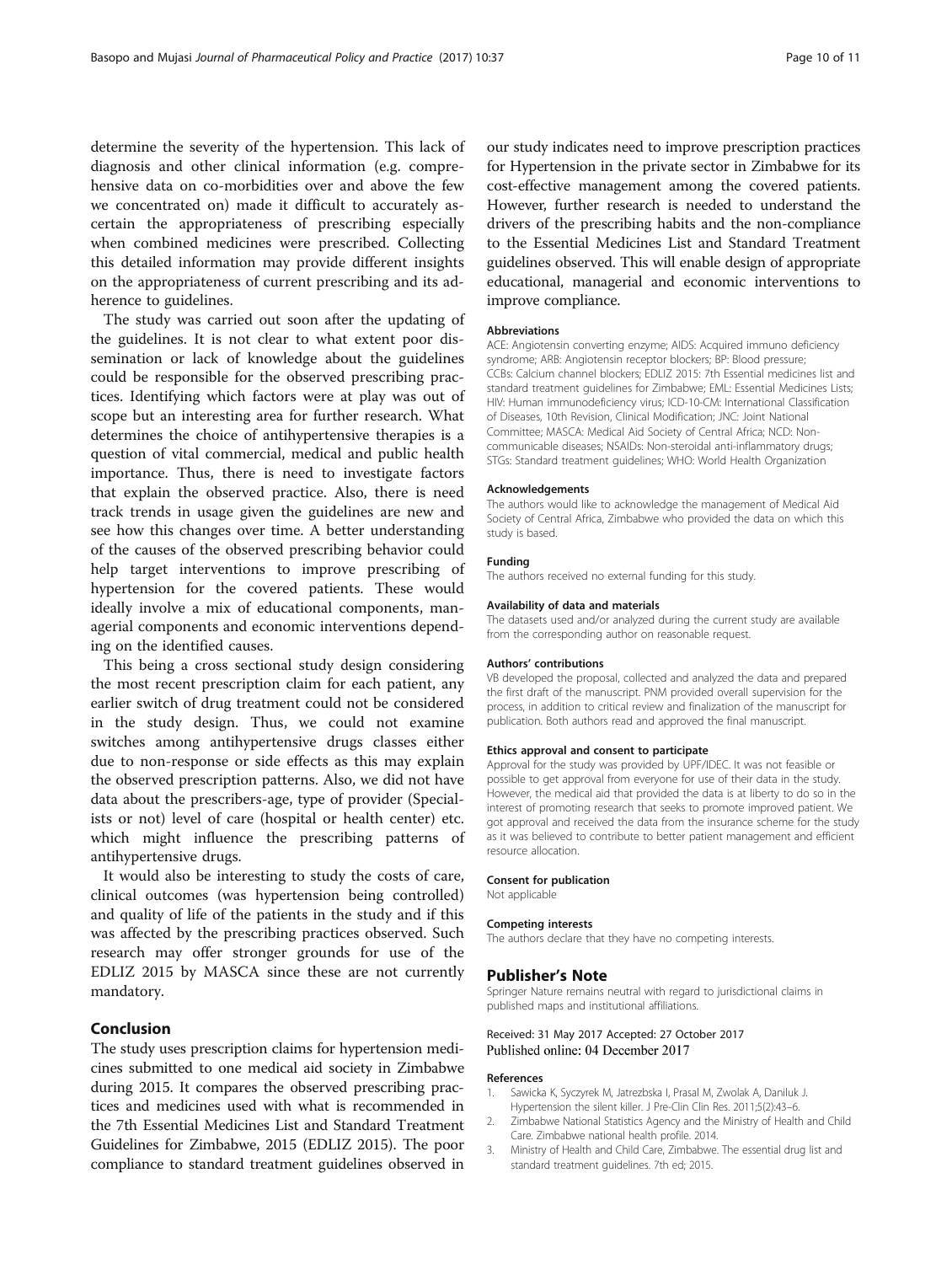<span id="page-9-0"></span>determine the severity of the hypertension. This lack of diagnosis and other clinical information (e.g. comprehensive data on co-morbidities over and above the few we concentrated on) made it difficult to accurately ascertain the appropriateness of prescribing especially when combined medicines were prescribed. Collecting this detailed information may provide different insights on the appropriateness of current prescribing and its adherence to guidelines.

The study was carried out soon after the updating of the guidelines. It is not clear to what extent poor dissemination or lack of knowledge about the guidelines could be responsible for the observed prescribing practices. Identifying which factors were at play was out of scope but an interesting area for further research. What determines the choice of antihypertensive therapies is a question of vital commercial, medical and public health importance. Thus, there is need to investigate factors that explain the observed practice. Also, there is need track trends in usage given the guidelines are new and see how this changes over time. A better understanding of the causes of the observed prescribing behavior could help target interventions to improve prescribing of hypertension for the covered patients. These would ideally involve a mix of educational components, managerial components and economic interventions depending on the identified causes.

This being a cross sectional study design considering the most recent prescription claim for each patient, any earlier switch of drug treatment could not be considered in the study design. Thus, we could not examine switches among antihypertensive drugs classes either due to non-response or side effects as this may explain the observed prescription patterns. Also, we did not have data about the prescribers-age, type of provider (Specialists or not) level of care (hospital or health center) etc. which might influence the prescribing patterns of antihypertensive drugs.

It would also be interesting to study the costs of care, clinical outcomes (was hypertension being controlled) and quality of life of the patients in the study and if this was affected by the prescribing practices observed. Such research may offer stronger grounds for use of the EDLIZ 2015 by MASCA since these are not currently mandatory.

## Conclusion

The study uses prescription claims for hypertension medicines submitted to one medical aid society in Zimbabwe during 2015. It compares the observed prescribing practices and medicines used with what is recommended in the 7th Essential Medicines List and Standard Treatment Guidelines for Zimbabwe, 2015 (EDLIZ 2015). The poor compliance to standard treatment guidelines observed in

our study indicates need to improve prescription practices for Hypertension in the private sector in Zimbabwe for its cost-effective management among the covered patients. However, further research is needed to understand the drivers of the prescribing habits and the non-compliance to the Essential Medicines List and Standard Treatment guidelines observed. This will enable design of appropriate educational, managerial and economic interventions to improve compliance.

#### Abbreviations

ACE: Angiotensin converting enzyme; AIDS: Acquired immuno deficiency syndrome; ARB: Angiotensin receptor blockers; BP: Blood pressure; CCBs: Calcium channel blockers; EDLIZ 2015: 7th Essential medicines list and standard treatment quidelines for Zimbabwe: EML: Essential Medicines Lists: HIV: Human immunodeficiency virus; ICD-10-CM: International Classification of Diseases, 10th Revision, Clinical Modification; JNC: Joint National Committee; MASCA: Medical Aid Society of Central Africa; NCD: Noncommunicable diseases; NSAIDs: Non-steroidal anti-inflammatory drugs; STGs: Standard treatment guidelines; WHO: World Health Organization

#### Acknowledgements

The authors would like to acknowledge the management of Medical Aid Society of Central Africa, Zimbabwe who provided the data on which this study is based.

#### Funding

The authors received no external funding for this study.

#### Availability of data and materials

The datasets used and/or analyzed during the current study are available from the corresponding author on reasonable request.

#### Authors' contributions

VB developed the proposal, collected and analyzed the data and prepared the first draft of the manuscript. PNM provided overall supervision for the process, in addition to critical review and finalization of the manuscript for publication. Both authors read and approved the final manuscript.

#### Ethics approval and consent to participate

Approval for the study was provided by UPF/IDEC. It was not feasible or possible to get approval from everyone for use of their data in the study. However, the medical aid that provided the data is at liberty to do so in the interest of promoting research that seeks to promote improved patient. We got approval and received the data from the insurance scheme for the study as it was believed to contribute to better patient management and efficient resource allocation.

#### Consent for publication

Not applicable

#### Competing interests

The authors declare that they have no competing interests.

#### Publisher's Note

Springer Nature remains neutral with regard to jurisdictional claims in published maps and institutional affiliations.

#### Received: 31 May 2017 Accepted: 27 October 2017 Published online: 04 December 2017

#### References

- 1. Sawicka K, Syczyrek M, Jatrezbska I, Prasal M, Zwolak A, Daniluk J. Hypertension the silent killer. J Pre-Clin Clin Res. 2011;5(2):43–6.
- 2. Zimbabwe National Statistics Agency and the Ministry of Health and Child Care. Zimbabwe national health profile. 2014.
- 3. Ministry of Health and Child Care, Zimbabwe. The essential drug list and standard treatment guidelines. 7th ed; 2015.